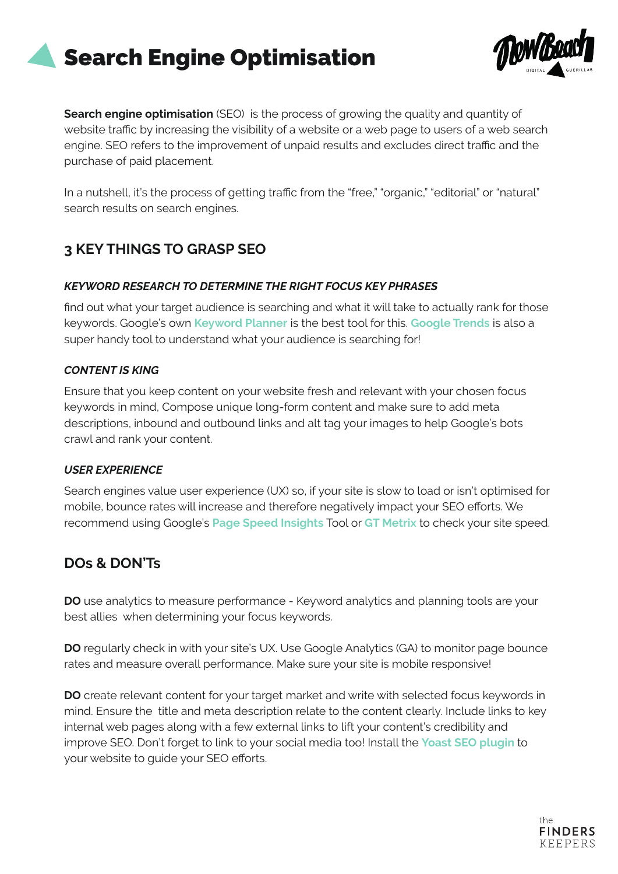# Search Engine Optimisation



**Search engine optimisation** (SEO) is the process of growing the quality and quantity of website traffic by increasing the visibility of a website or a web page to users of a web search engine. SEO refers to the improvement of unpaid results and excludes direct traffic and the purchase of paid placement.

In a nutshell, it's the process of getting traffic from the "free," "organic," "editorial" or "natural" search results on search engines.

## **3 KEY THINGS TO GRASP SEO**

#### *KEYWORD RESEARCH TO DETERMINE THE RIGHT FOCUS KEY PHRASES*

find out what your target audience is searching and what it will take to actually rank for those keywords. Google's own **Keyword Planner** is the best tool for this. **[Google Trends](https://trends.google.com/trends/?geo=US)** is also a super handy tool to understand what your audience is searching for!

#### *CONTENT IS KING*

Ensure that you keep content on your website fresh and relevant with your chosen focus keywords in mind, Compose unique long-form content and make sure to add meta descriptions, inbound and outbound links and alt tag your images to help Google's bots crawl and rank your content.

#### *USER EXPERIENCE*

Search engines value user experience (UX) so, if your site is slow to load or isn't optimised for mobile, bounce rates will increase and therefore negatively impact your SEO efforts. We recommend using Google's **[Page Speed Insights](https://developers.google.com/speed/pagespeed/insights/)** Tool or **[GT Metrix](https://gtmetrix.com/)** to check your site speed.

### **DOs & DON'Ts**

**DO** use analytics to measure performance - Keyword analytics and planning tools are your best allies when determining your focus keywords.

**DO** regularly check in with your site's UX. Use Google Analytics (GA) to monitor page bounce rates and measure overall performance. Make sure your site is mobile responsive!

**DO** create relevant content for your target market and write with selected focus keywords in mind. Ensure the title and meta description relate to the content clearly. Include links to key internal web pages along with a few external links to lift your content's credibility and improve SEO. Don't forget to link to your social media too! Install the **[Yoast SEO plugin](https://yoast.com/wordpress/plugins/seo/?gclid=CjwKCAjw7-P1BRA2EiwAXoPWA6eVJsH6atyfijopSHDyhcTU0l1T9QdCAJ14_ih8YXMhB__u_6bdaBoCCA0QAvD_BwE)** to your website to guide your SEO efforts.